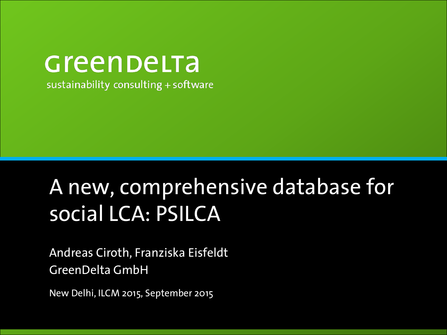### Greenbelta sustainability consulting + software

# A new, comprehensive database for social LCA: PSILCA

Andreas Ciroth, Franziska Eisfeldt GreenDelta GmbH

New Delhi, ILCM 2015, September 2015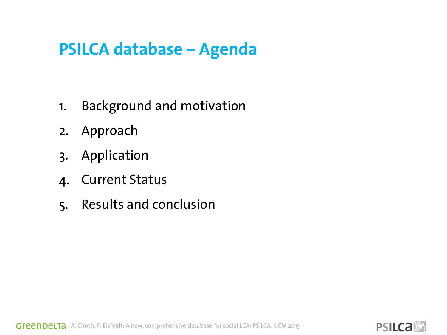### **PSILCA database – Agenda**

- 1. Background and motivation
- 2. Approach
- 3. Application
- 4. Current Status
- 5. Results and conclusion

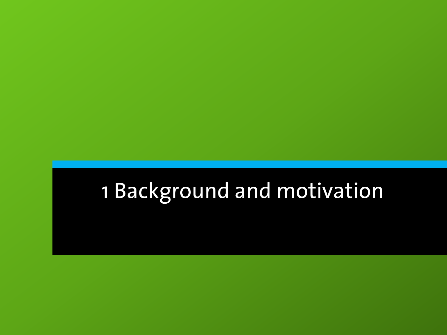# 1 Background and motivation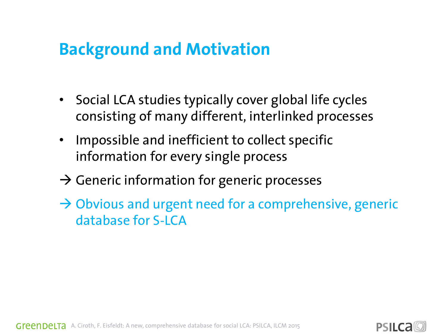### **Background and Motivation**

- Social LCA studies typically cover global life cycles consisting of many different, interlinked processes
- Impossible and inefficient to collect specific information for every single process
- $\rightarrow$  Generic information for generic processes
- $\rightarrow$  Obvious and urgent need for a comprehensive, generic database for S-LCA

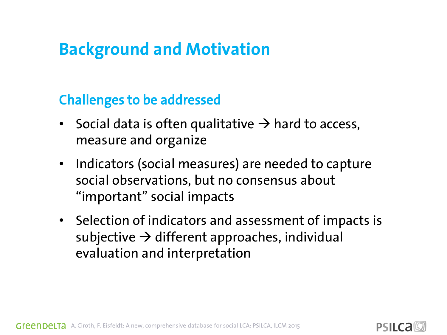### **Background and Motivation**

#### Challenges to be addressed

- Social data is often qualitative  $\rightarrow$  hard to access, measure and organize
- Indicators (social measures) are needed to capture social observations, but no consensus about "important" social impacts
- Selection of indicators and assessment of impacts is subjective  $\rightarrow$  different approaches, individual evaluation and interpretation



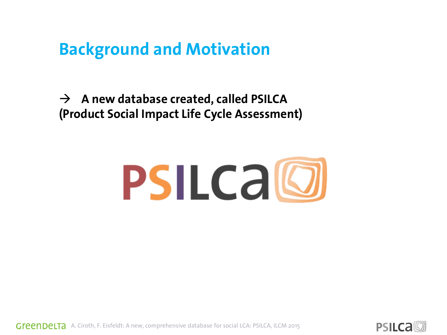#### **Background and Motivation**

 $\rightarrow$  A new database created, called PSILCA **(Product Social Impact Life Cycle Assessment)**



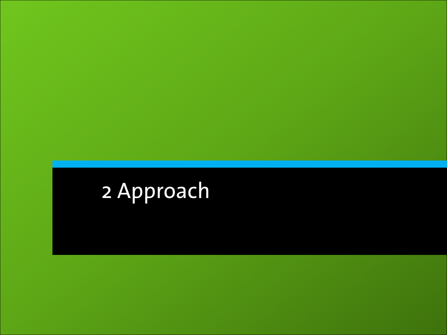# 2 Approach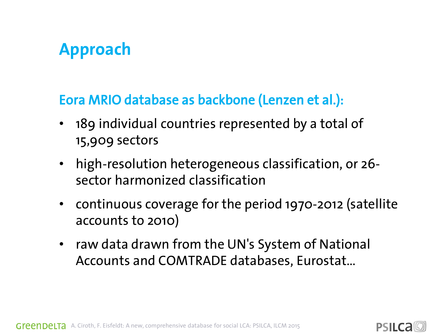## **Approach**

#### Eora MRIO database as backbone (Lenzen et al.):

- 189 individual countries represented by a total of 15,909 sectors
- high-resolution heterogeneous classification, or 26 sector harmonized classification
- continuous coverage for the period 1970-2012 (satellite accounts to 2010)
- raw data drawn from the UN's System of National Accounts and COMTRADE databases, Eurostat…

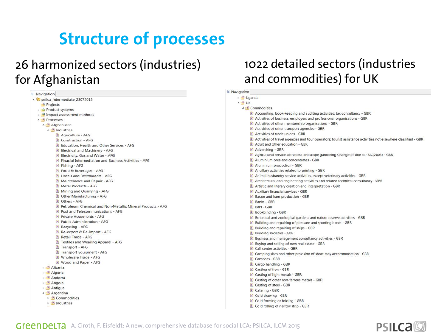# **Structure of processes**

#### 26 harmonized sectors (industries) for Afghanistan

| <b>E</b> : Navigation                                         |
|---------------------------------------------------------------|
| Dipsilca_intermediate_28072015                                |
| <b>Projects</b>                                               |
| Product systems                                               |
| Impact assessment methods                                     |
| <b>P</b> Processes                                            |
| <b>P</b> Afghanistan                                          |
| <sup>2</sup> Industries                                       |
| <b>P</b> Agriculture - AFG                                    |
| P Construction - AFG                                          |
| P Education, Health and Other Services - AFG                  |
| <b>P</b> Electrical and Machinery - AFG                       |
| <b>P</b> Electricity, Gas and Water - AFG                     |
| P Finacial Intermediation and Business Activities - AFG       |
| P Fishing - AFG                                               |
| P Food & Beverages - AFG                                      |
| <b>P</b> Hotels and Restraurants - AFG                        |
| <b>P</b> Maintenance and Repair - AFG                         |
| P Metal Products - AFG                                        |
| <b>P</b> Mining and Quarrying - AFG                           |
| <b>P</b> Other Manufacturing - AFG                            |
| P Others - AFG                                                |
| P Petroleum, Chemical and Non-Metallic Mineral Products - AFG |
| P Post and Telecommunications - AFG                           |
| $P$ Private Households - AFG                                  |
| P Public Administration - AFG                                 |
| P Recycling - AFG                                             |
| P Re-export & Re-import - AFG                                 |
| P Retail Trade - AFG                                          |
| P Textiles and Wearing Apparel - AFG                          |
| P Transport - AFG                                             |
| P Transport Equipment - AFG                                   |
| P Wholesale Trade - AFG                                       |
| P Wood and Paper - AFG                                        |
| <b>P</b> Albania                                              |
| <b>P.</b> Algeria                                             |
| <b>P</b> Andorra                                              |
| <b>P</b> Angola                                               |
| <b>Antigua</b>                                                |
| <b>Argentina</b>                                              |
| <b>P</b> Commodities                                          |
| <b>P.</b> Industries                                          |
|                                                               |

#### 1022 detailed sectors (industries and commodities) for UK

| Navigation        |                                                                                                                  |
|-------------------|------------------------------------------------------------------------------------------------------------------|
| <b>DEP</b> Uganda |                                                                                                                  |
| $ P$ UK           |                                                                                                                  |
|                   | <b>4 P</b> Commodities                                                                                           |
|                   | P Accounting, book-keeping and auditing activities; tax consultancy - GBR                                        |
|                   | P Activities of business, employers and professional organisations - GBR                                         |
|                   | P Activities of other membership organisations - GBR                                                             |
|                   | P. Activities of other transport agencies - GBR                                                                  |
|                   | <b>P</b> Activities of trade unions - GBR                                                                        |
|                   | 2 Activities of travel agencies and tour operators; tourist assistance activities not elsewhere classified - GBR |
|                   | <b>P</b> Adult and other education - GBR                                                                         |
|                   | <b>P</b> Advertising - GBR                                                                                       |
|                   | $\hat{P}$ Agricultural service activities; landscape gardening Change of title for SIC(2003) - GBR               |
|                   | P Aluminium ores and concentrates - GBR                                                                          |
|                   | <b>P</b> Aluminium production - GBR                                                                              |
|                   | P Ancillary activities related to printing - GBR                                                                 |
|                   | <b>P</b> Animal husbandry service activities, except veterinary activities - GBR                                 |
|                   | [2] Architectural and engineering activities and related technical consultancy - GBR                             |
|                   | <b>P</b> Artistic and literary creation and interpretation - GBR                                                 |
|                   | <b>P</b> Auxiliary financial services - GBR                                                                      |
|                   | P Bacon and ham production - GBR                                                                                 |
|                   | P Banks - GBR                                                                                                    |
|                   | P Bars - GBR                                                                                                     |
|                   | P Bookbinding - GBR                                                                                              |
|                   | P Botanical and zoological gardens and nature reserve activities - GBR                                           |
|                   | <b>P</b> Building and repairing of pleasure and sporting boats - GBR                                             |
|                   | P Building and repairing of ships - GBR                                                                          |
|                   | <b>P</b> Building societies - GBR                                                                                |
|                   | P Business and management consultancy activities - GBR                                                           |
|                   | P Buying and selling of own real estate - GBR                                                                    |
|                   | P Call centre activities - GBR                                                                                   |
|                   | $\hat{P}$ Camping sites and other provision of short-stay accommodation - GBR                                    |
|                   | P Canteens - GBR                                                                                                 |
|                   | P Cargo handling - GBR                                                                                           |
|                   | <b>P</b> Casting of iron - GBR                                                                                   |
|                   | <b>P</b> Casting of light metals - GBR                                                                           |
|                   | P Casting of other non-ferrous metals - GBR                                                                      |
|                   | <b>P</b> Casting of steel - GBR                                                                                  |
|                   | <b>P</b> Catering - GBR                                                                                          |
|                   | P Cold drawing - GBR                                                                                             |
|                   | P Cold forming or folding - GBR                                                                                  |
|                   | $\left  \mathbf{P} \right $ Cold rolling of narrow strip - GBR                                                   |

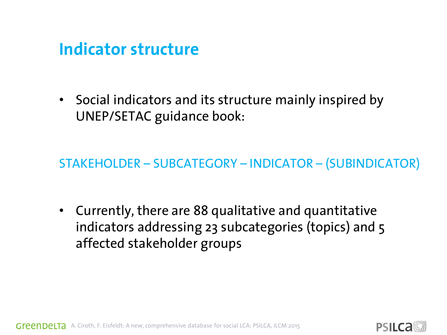#### **Indicator structure**

• Social indicators and its structure mainly inspired by UNEP/SETAC guidance book:

STAKEHOLDER – SUBCATEGORY – INDICATOR – (SUBINDICATOR)

• Currently, there are 88 qualitative and quantitative indicators addressing 23 subcategories (topics) and 5 affected stakeholder groups



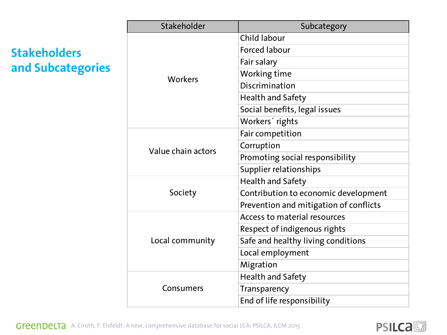#### **Stakeholders and Subcategories**

| Stakeholder        | Subcategory                            |
|--------------------|----------------------------------------|
| <b>Workers</b>     | Child labour                           |
|                    | <b>Forced labour</b>                   |
|                    | Fair salary                            |
|                    | Working time                           |
|                    | Discrimination                         |
|                    | <b>Health and Safety</b>               |
|                    | Social benefits, legal issues          |
|                    | Workers' rights                        |
|                    | Fair competition                       |
| Value chain actors | Corruption                             |
|                    | Promoting social responsibility        |
|                    | Supplier relationships                 |
|                    | <b>Health and Safety</b>               |
| Society            | Contribution to economic development   |
|                    | Prevention and mitigation of conflicts |
|                    | Access to material resources           |
|                    | Respect of indigenous rights           |
| Local community    | Safe and healthy living conditions     |
|                    | Local employment                       |
|                    | Migration                              |
|                    | <b>Health and Safety</b>               |
| Consumers          | Transparency                           |
|                    | End of life responsibility             |

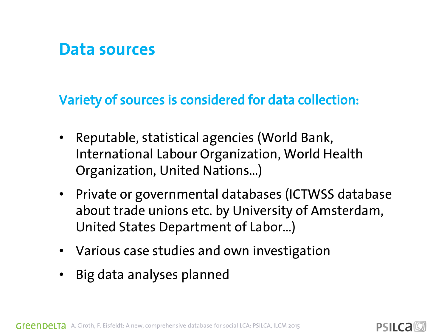#### **Data sources**

#### Variety of sources is considered for data collection:

- Reputable, statistical agencies (World Bank, International Labour Organization, World Health Organization, United Nations…)
- Private or governmental databases (ICTWSS database about trade unions etc. by University of Amsterdam, United States Department of Labor…)
- Various case studies and own investigation
- Big data analyses planned

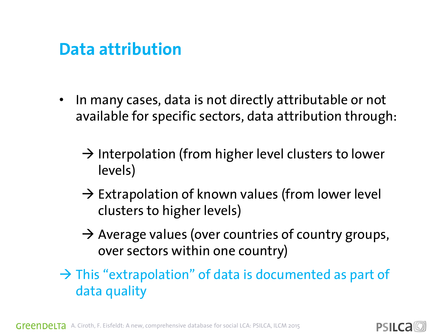#### **Data attribution**

- In many cases, data is not directly attributable or not available for specific sectors, data attribution through:
	- $\rightarrow$  Interpolation (from higher level clusters to lower levels)
	- $\rightarrow$  Extrapolation of known values (from lower level clusters to higher levels)
	- $\rightarrow$  Average values (over countries of country groups, over sectors within one country)

 $\rightarrow$  This "extrapolation" of data is documented as part of data quality

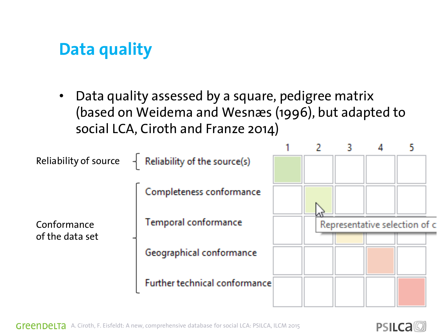### **Data quality**

Data quality assessed by a square, pedigree matrix (based on Weidema and Wesnæs (1996), but adapted to social LCA, Ciroth and Franze 2014)



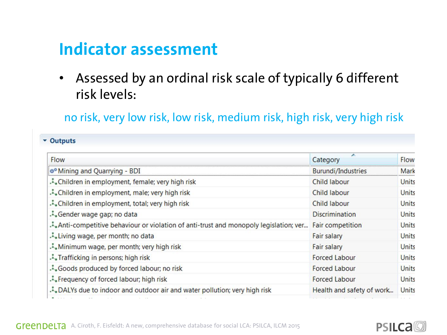### **Indicator assessment**

• Assessed by an ordinal risk scale of typically 6 different risk levels:

no risk, very low risk, low risk, medium risk, high risk, very high risk

#### v Outputs

| Flow                                                                                | ▴<br>Category             | Flow         |
|-------------------------------------------------------------------------------------|---------------------------|--------------|
| ** Mining and Quarrying - BDI                                                       | <b>Burundi/Industries</b> | Mark         |
| Children in employment, female; very high risk                                      | <b>Child labour</b>       | Units        |
| Children in employment, male; very high risk                                        | Child labour              | Units        |
| Children in employment, total; very high risk                                       | Child labour              | Units        |
| Gender wage gap; no data                                                            | <b>Discrimination</b>     | Units        |
| Anti-competitive behaviour or violation of anti-trust and monopoly legislation; ver | <b>Fair competition</b>   | Units        |
| Living wage, per month; no data                                                     | <b>Fair salary</b>        | Units        |
| Minimum wage, per month; very high risk                                             | <b>Fair salary</b>        | <b>Units</b> |
| Trafficking in persons; high risk                                                   | <b>Forced Labour</b>      | Units        |
| Goods produced by forced labour; no risk                                            | <b>Forced Labour</b>      | Units        |
| Frequency of forced labour; high risk                                               | <b>Forced Labour</b>      | Units        |
| DALYs due to indoor and outdoor air and water pollution; very high risk             | Health and safety of work | Units        |
|                                                                                     |                           |              |

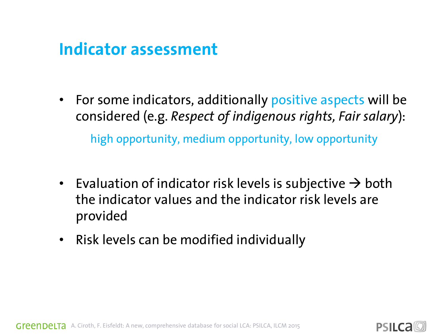#### **Indicator assessment**

- For some indicators, additionally positive aspects will be considered (e.g. *Respect of indigenous rights, Fair salary*): high opportunity, medium opportunity, low opportunity
- Evaluation of indicator risk levels is subjective  $\rightarrow$  both the indicator values and the indicator risk levels are provided
- Risk levels can be modified individually

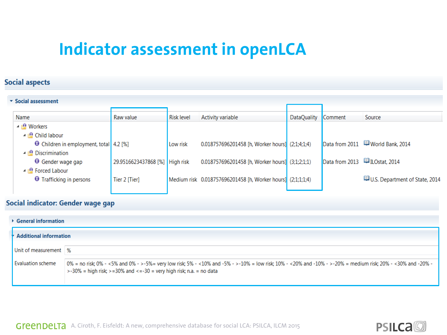### **Indicator assessment in openLCA**

#### **Social aspects**

| Source                            |
|-----------------------------------|
|                                   |
|                                   |
| Data from 2011 4 World Bank, 2014 |
|                                   |
| Data from 2013 ILOstat, 2014      |
|                                   |
| U.S. Department of State, 2014    |
|                                   |
|                                   |

#### Social indicator: Gender wage gap

| $\triangleright$ General information |                                                                                                                                                                                                                                            |  |  |  |  |
|--------------------------------------|--------------------------------------------------------------------------------------------------------------------------------------------------------------------------------------------------------------------------------------------|--|--|--|--|
|                                      | <b>Additional information</b>                                                                                                                                                                                                              |  |  |  |  |
| Unit of measurement   %              |                                                                                                                                                                                                                                            |  |  |  |  |
| Evaluation scheme                    | - 0% = no risk; 0% - <5% and 0% - >-5%= very low risk; 5% - <10% and -5% - >-10% = low risk; 10% - <20% and -10% - >-20% = medium risk; 20% - <30% and -20% -<br>$>$ -30% = high risk; $>$ =30% and <=-30 = very high risk; n.a. = no data |  |  |  |  |

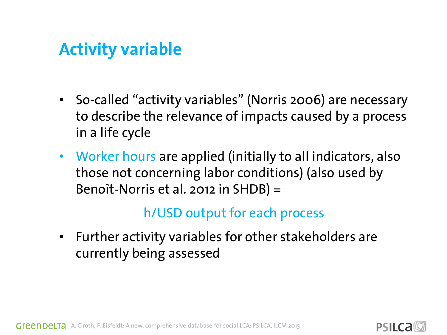### **Activity variable**

- So-called "activity variables" (Norris 2006) are necessary to describe the relevance of impacts caused by a process in a life cycle
- Worker hours are applied (initially to all indicators, also those not concerning labor conditions) (also used by Benoît-Norris et al. 2012 in SHDB) =

#### h/USD output for each process

• Further activity variables for other stakeholders are currently being assessed

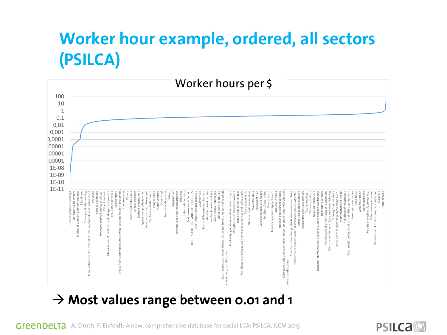## **Worker hour example, ordered, all sectors (PSILCA)**



#### **Most values range between 0.01 and 1**

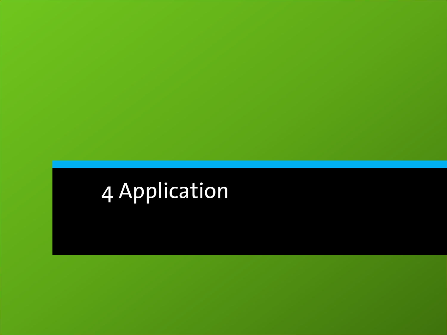# 4 Application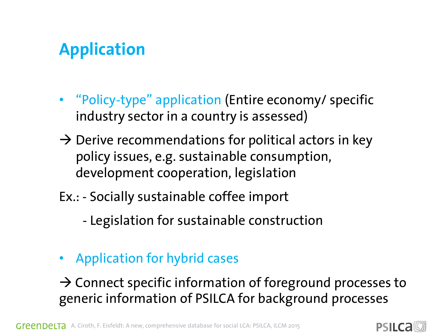## **Application**

- "Policy-type" application (Entire economy/ specific industry sector in a country is assessed)
- $\rightarrow$  Derive recommendations for political actors in key policy issues, e.g. sustainable consumption, development cooperation, legislation
- Ex.: Socially sustainable coffee import
	- Legislation for sustainable construction
- Application for hybrid cases

 $\rightarrow$  Connect specific information of foreground processes to generic information of PSILCA for background processes

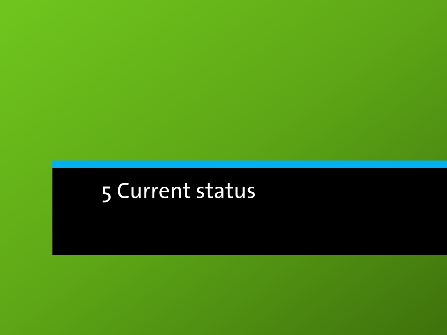# Current status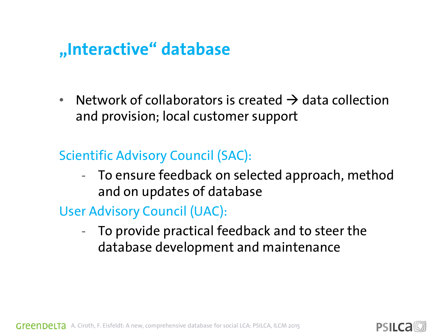### **"Interactive" database**

• Network of collaborators is created  $\rightarrow$  data collection and provision; local customer support

#### Scientific Advisory Council (SAC):

- To ensure feedback on selected approach, method and on updates of database
- User Advisory Council (UAC):
	- To provide practical feedback and to steer the database development and maintenance

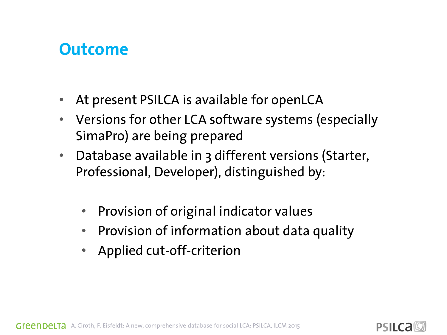#### **Outcome**

- At present PSILCA is available for openLCA
- Versions for other LCA software systems (especially SimaPro) are being prepared
- Database available in 3 different versions (Starter, Professional, Developer), distinguished by:
	- Provision of original indicator values
	- Provision of information about data quality
	- Applied cut-off-criterion

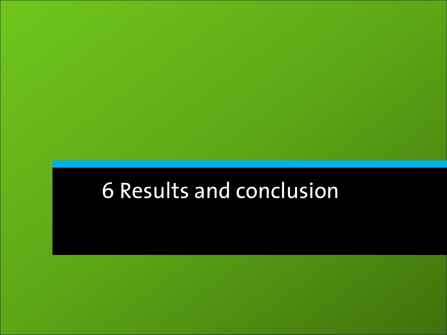# 6 Results and conclusion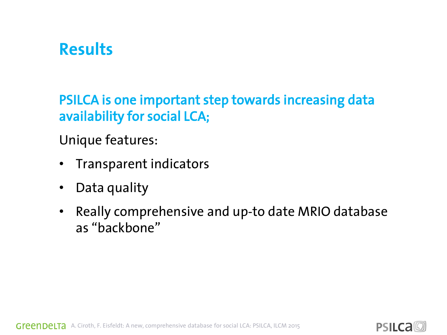### **Results**

PSILCA is one important step towards increasing data availability for social LCA;

Unique features:

- Transparent indicators
- Data quality
- Really comprehensive and up-to date MRIO database as "backbone"



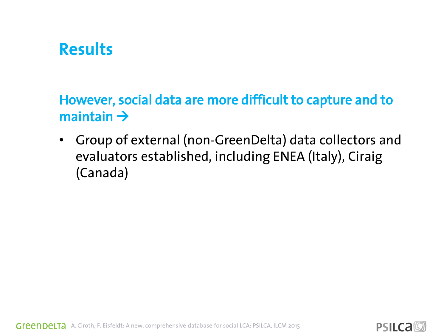#### **Results**

However, social data are more difficult to capture and to maintain  $\rightarrow$ 

• Group of external (non-GreenDelta) data collectors and evaluators established, including ENEA (Italy), Ciraig (Canada)